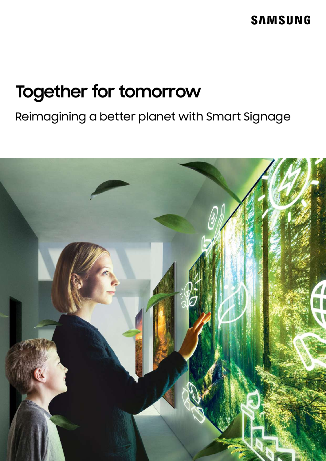# **SAMSUNG**

# **Together for tomorrow**

# Reimagining a better planet with Smart Signage

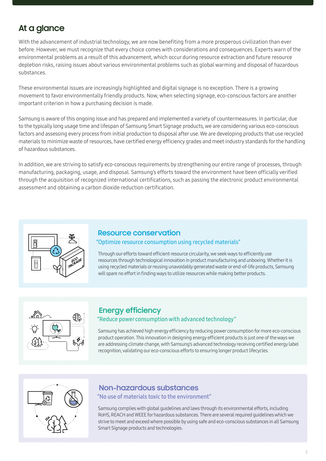## **At a glance**

With the advancement of industrial technology, we are now benefiting from a more prosperous civilization than ever before. However, we must recognize that every choice comes with considerations and consequences. Experts warn of the environmental problems as a result of this advancement, which occur during resource extraction and future resource depletion risks, raising issues about various environmental problems such as global warming and disposal of hazardous substances.

These environmental issues are increasingly highlighted and digital signage is no exception. There is a growing movement to favor environmentally friendly products. Now, when selecting signage, eco-conscious factors are another important criterion in how a purchasing decision is made.

Samsung is aware of this ongoing issue and has prepared and implemented a variety of countermeasures. In particular, due to the typically long usage time and lifespan of Samsung Smart Signage products, we are considering various eco-conscious factors and assessing every process from initial production to disposal after use. We are developing products that use recycled materials to minimize waste of resources, have certified energy efficiency grades and meet industry standards for the handling of hazardous substances.

In addition, we are striving to satisfy eco-conscious requirements by strengthening our entire range of processes, through manufacturing, packaging, usage, and disposal. Samsung's efforts toward the environment have been officially verified through the acquisition of recognized international certifications, such as passing the electronic product environmental assessment and obtaining a carbon dioxide reduction certification.



#### "Optimize resource consumption using recycled materials" **Resource conservation**

Through our efforts toward efficient resource circularity, we seek ways to efficiently use resources through technological innovation in product manufacturing and unboxing. Whether it is using recycled materials or reusing unavoidably generated waste or end-of-life products, Samsung will spare no effort in finding ways to utilize resources while making better products.



### **Energy efficiency**

#### "Reduce power consumption with advanced technology"

Samsung has achieved high energy efficiency by reducing power consumption for more eco-conscious product operation. This innovation in designing energy efficient products is just one of the ways we are addressing climate change, with Samsung's advanced technology receiving certified energy label recognition, validating our eco-conscious efforts to ensuring longer product lifecycles.



#### **Non-hazardous substances**

#### "No use of materials toxic to the environment"

Samsung complies with global guidelines and laws through its environmental efforts, including RoHS, REACH and WEEE for hazardous substances. There are several required guidelines which we strive to meet and exceed where possible by using safe and eco-conscious substances in all Samsung Smart Signage products and technologies.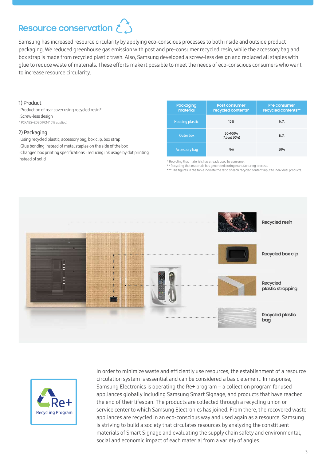# **Resource conservation**  $\sum_{n=1}^{N}$

Samsung has increased resource circularity by applying eco-conscious processes to both inside and outside product packaging. We reduced greenhouse gas emission with post and pre-consumer recycled resin, while the accessory bag and box strap is made from recycled plastic trash. Also, Samsung developed a screw-less design and replaced all staples with glue to reduce waste of materials. These efforts make it possible to meet the needs of eco-conscious consumers who want to increase resource circularity.

#### 1) Product

: Production of rear cover using recycled resin\* : Screw-less design

\* PC+ABS+ED20(PCM 10% applied)

#### 2) Packaging

: Using recycled plastic, accessory bag, box clip, box strap

: Glue bonding instead of metal staples on the side of the box

: Changed box printing specifications : reducing ink usage by dot printing instead of solid

| Packaging<br>material  | Post consumer<br>recycled contents* | Pre consumer<br>recycled contents** |
|------------------------|-------------------------------------|-------------------------------------|
| <b>Housing plastic</b> | 10%                                 | N/A                                 |
| Outer box              | 30~100%<br>(About 50%)              | N/A                                 |
| <b>Accessory bag</b>   | N/A                                 | 50%                                 |

\* Recycling that materials has already used by consumer.

\*\* Recycling that materials has generated during manufacturing process.

\*\*\* The figures in the table indicate the ratio of each recycled content input to individual products.





In order to minimize waste and efficiently use resources, the establishment of a resource circulation system is essential and can be considered a basic element. In response, Samsung Electronics is operating the Re+ program – a collection program for used appliances globally including Samsung Smart Signage, and products that have reached the end of their lifespan. The products are collected through a recycling union or service center to which Samsung Electronics has joined. From there, the recovered waste appliances are recycled in an eco-conscious way and used again as a resource. Samsung is striving to build a society that circulates resources by analyzing the constituent materials of Smart Signage and evaluating the supply chain safety and environmental, social and economic impact of each material from a variety of angles.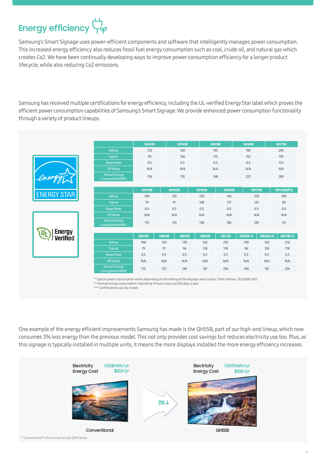# Energy efficiency

Samsung's Smart Signage uses power-efficient components and software that intelligently manages power consumption. This increased energy efficiency also reduces fossil fuel energy consumption such as coal, crude oil, and natural gas which creates Co2. We have been continually developing ways to improve power consumption efficiency for a longer product lifecycle, while also reducing Co2 emissions.

Samsung has received multiple certifications for energy efficiency, including the UL-verified Energy Star label which proves the efficient power consumption capabilities of Samsung's Smart Signage. We provide enhanced power consumption functionality through a variety of product lineups.

|                    |                                          | QH43B      |       | QH50B | QH55B |       | QH65B      |                | QH75B      |  |
|--------------------|------------------------------------------|------------|-------|-------|-------|-------|------------|----------------|------------|--|
|                    | Rating                                   | 125        |       | 160   | 145   |       | 185        |                | 240        |  |
|                    | <b>Typical</b>                           | 93         |       | 106   |       | 115   |            |                | 195        |  |
|                    | <b>Sleep Mode</b>                        | 0.5        |       | 0.5   | 0.5   |       | 0.5        |                | 0.5        |  |
|                    | Off Mode                                 | N/A        |       | N/A   | N/A   |       | N/A        |                | N/A        |  |
|                    | <b>Annual Energy</b><br>Consupmtion(kWh) | 136        |       | 155   |       | 168   |            |                | 285        |  |
|                    |                                          | QM43B      |       | QM50B | QM55B | QM65B | QM75B      |                | QM43B(IPS) |  |
| <b>ENERGY STAR</b> | Rating                                   | 100<br>155 |       | 130   | 165   |       | 210<br>100 |                |            |  |
|                    | <b>Typical</b>                           | 79         |       | 91    | 108   | 127   | 161        |                | 83         |  |
|                    | <b>Sleep Mode</b>                        | 0.5        |       | 0.5   | 0.5   | 0.5   | 0.5        |                | 0.5        |  |
|                    | <b>Off Mode</b>                          | N/A        |       | N/A   | N/A   | N/A   | N/A        |                | N/A        |  |
|                    | <b>Annual Energy</b><br>Consupmtion(kWh) | 115        |       | 133   | 158   | 185   | 235        |                | 121        |  |
| Energy             |                                          |            |       |       |       |       |            |                |            |  |
| fier               |                                          | QB43B      | QB50B | QB55B | QB65B | QB75B | QB55B-N    | <b>QB65B-N</b> | QB75B-N    |  |
|                    | Rating                                   | 100        | 130   | 130   | 165   | 210   | 130        | 165            | 210        |  |
|                    | <b>Typical</b>                           | 79         | 91    | 96    | 124   | 174   | 96         | 124            | 174        |  |
|                    | <b>Sleep Mode</b>                        | 0.5        | 0.5   | 0.5   | 0.5   | 0.5   | 0.5        | 0.5            | 0.5        |  |
|                    | <b>Off Mode</b>                          | N/A        | N/A   | N/A   | N/A   | N/A   | N/A        | N/A            | N/A        |  |
|                    | <b>Annual Energy</b>                     | 115        | 133   | 140   | 181   | 254   | 140        | 181            | 254        |  |

\*\*\* Certifications vary by model.

One example of the energy efficient improvements Samsung has made is the QH55B, part of our high-end lineup, which now consumes 3% less energy than the previous model. This not only provides cost savings but reduces electricity use too. Plus, as this signage is typically installed in multiple units, it means the more displays installed the more energy efficiency increases.



\* "Conventional" refers to Samsung's QHR series.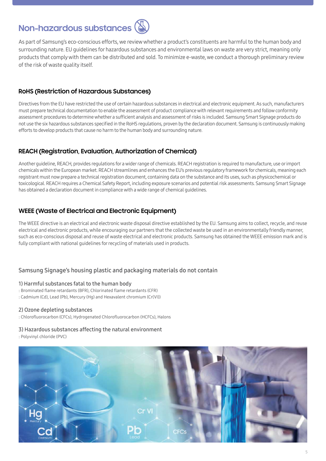## **Non-hazardous substances**



As part of Samsung's eco-conscious efforts, we review whether a product's constituents are harmful to the human body and surrounding nature. EU guidelines for hazardous substances and environmental laws on waste are very strict, meaning only products that comply with them can be distributed and sold. To minimize e-waste, we conduct a thorough preliminary review of the risk of waste quality itself.

#### **RoHS (Restriction of Hazardous Substances)**

Directives from the EU have restricted the use of certain hazardous substances in electrical and electronic equipment. As such, manufacturers must prepare technical documentation to enable the assessment of product compliance with relevant requirements and follow conformity assessment procedures to determine whether a sufficient analysis and assessment of risks is included. Samsung Smart Signage products do not use the six hazardous substances specified in the RoHS regulations, proven by the declaration document. Samsung is continuously making efforts to develop products that cause no harm to the human body and surrounding nature.

#### **REACH (Registration, Evaluation, Authorization of Chemical)**

Another guideline, REACH, provides regulations for a wider range of chemicals. REACH registration is required to manufacture, use or import chemicals within the European market. REACH streamlines and enhances the EU's previous regulatory framework for chemicals, meaning each registrant must now prepare a technical registration document, containing data on the substance and its uses, such as physicochemical or toxicological. REACH requires a Chemical Safety Report, including exposure scenarios and potential risk assessments. Samsung Smart Signage has obtained a declaration document in compliance with a wide range of chemical guidelines.

#### **WEEE (Waste of Electrical and Electronic Equipment)**

The WEEE directive is an electrical and electronic waste disposal directive established by the EU. Samsung aims to collect, recycle, and reuse electrical and electronic products, while encouraging our partners that the collected waste be used in an environmentally friendly manner, such as eco-conscious disposal and reuse of waste electrical and electronic products. Samsung has obtained the WEEE emission mark and is fully compliant with national guidelines for recycling of materials used in products.

#### Samsung Signage's housing plastic and packaging materials do not contain

#### 1) Harmful substances fatal to the human body

- : Brominated flame retardants (BFR), Chlorinated flame retardants (CFR)
- : Cadmium (Cd), Lead (Pb), Mercury (Hg) and Hexavalent chromium (Cr(VI))

#### 2) Ozone depleting substances

: Chlorofluorocarbon (CFCs), Hydrogenated Chlorofluorocarbon (HCFCs), Halons

#### 3) Hazardous substances affecting the natural environment

: Polyvinyl chloride (PVC)

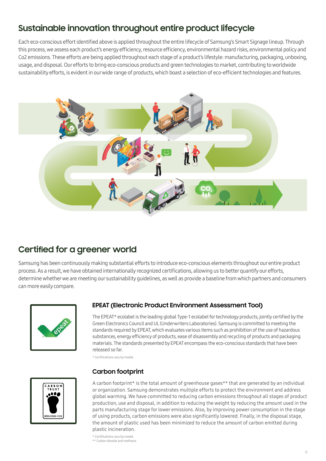## **Sustainable innovation throughout entire product lifecycle**

Each eco-conscious effort identified above is applied throughout the entire lifecycle of Samsung's Smart Signage lineup. Through this process, we assess each product's energy efficiency, resource efficiency, environmental hazard risks, environmental policy and Co2 emissions. These efforts are being applied throughout each stage of a product's lifestyle: manufacturing, packaging, unboxing, usage, and disposal. Our efforts to bring eco-conscious products and green technologies to market, contributing to worldwide sustainability efforts, is evident in our wide range of products, which boast a selection of eco-efficient technologies and features.



### **Certified for a greener world**

Samsung has been continuously making substantial efforts to introduce eco-conscious elements throughout our entire product process. As a result, we have obtained internationally recognized certifications, allowing us to better quantify our efforts, determine whether we are meeting our sustainability guidelines, as well as provide a baseline from which partners and consumers can more easily compare.



#### **EPEAT (Electronic Product Environment Assessment Tool)**

The EPEAT\* ecolabel is the leading global Type-1 ecolabel for technology products, jointly certified by the Green Electronics Council and UL (Underwriters Laboratories). Samsung is committed to meeting the standards required by EPEAT, which evaluates various items such as prohibition of the use of hazardous substances, energy efficiency of products, ease of disassembly and recycling of products and packaging materials. The standards presented by EPEAT encompass the eco-conscious standards that have been released so far.

\* Certifications vary by model.



#### **Carbon footprint**

A carbon footprint\* is the total amount of greenhouse gases\*\* that are generated by an individual or organization. Samsung demonstrates multiple efforts to protect the environment and address global warming. We have committed to reducing carbon emissions throughout all stages of product production, use and disposal, in addition to reducing the weight by reducing the amount used in the parts manufacturing stage for lower emissions. Also, by improving power consumption in the stage of using products, carbon emissions were also significantly lowered. Finally, in the disposal stage, the amount of plastic used has been minimized to reduce the amount of carbon emitted during plastic incineration.

\* Certifications vary by model. \*\* Carbon dioxide and methane